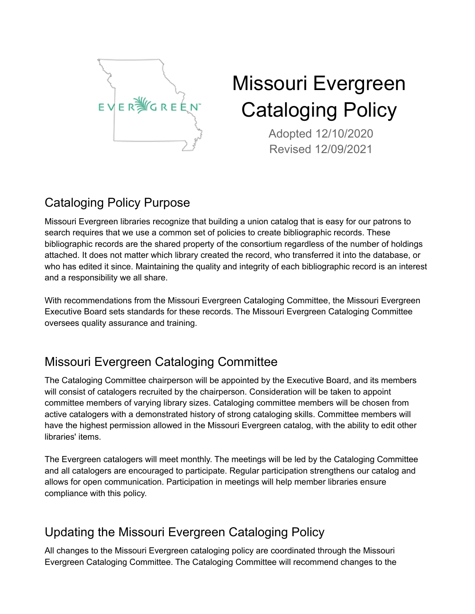

# Missouri Evergreen Cataloging Policy

Adopted 12/10/2020 Revised 12/09/2021

# Cataloging Policy Purpose

Missouri Evergreen libraries recognize that building a union catalog that is easy for our patrons to search requires that we use a common set of policies to create bibliographic records. These bibliographic records are the shared property of the consortium regardless of the number of holdings attached. It does not matter which library created the record, who transferred it into the database, or who has edited it since. Maintaining the quality and integrity of each bibliographic record is an interest and a responsibility we all share.

With recommendations from the Missouri Evergreen Cataloging Committee, the Missouri Evergreen Executive Board sets standards for these records. The Missouri Evergreen Cataloging Committee oversees quality assurance and training.

# Missouri Evergreen Cataloging Committee

The Cataloging Committee chairperson will be appointed by the Executive Board, and its members will consist of catalogers recruited by the chairperson. Consideration will be taken to appoint committee members of varying library sizes. Cataloging committee members will be chosen from active catalogers with a demonstrated history of strong cataloging skills. Committee members will have the highest permission allowed in the Missouri Evergreen catalog, with the ability to edit other libraries' items.

The Evergreen catalogers will meet monthly. The meetings will be led by the Cataloging Committee and all catalogers are encouraged to participate. Regular participation strengthens our catalog and allows for open communication. Participation in meetings will help member libraries ensure compliance with this policy.

## Updating the Missouri Evergreen Cataloging Policy

All changes to the Missouri Evergreen cataloging policy are coordinated through the Missouri Evergreen Cataloging Committee. The Cataloging Committee will recommend changes to the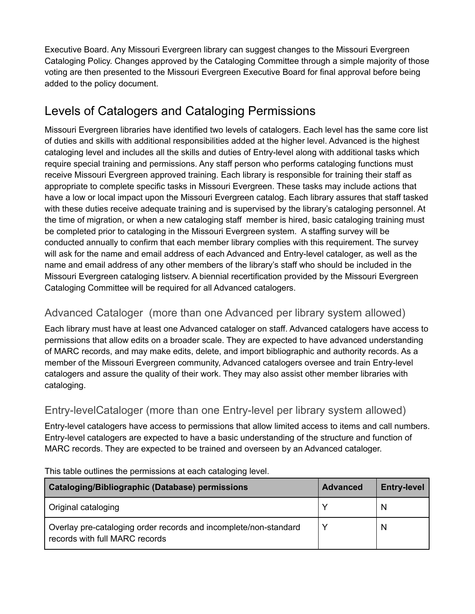Executive Board. Any Missouri Evergreen library can suggest changes to the Missouri Evergreen Cataloging Policy. Changes approved by the Cataloging Committee through a simple majority of those voting are then presented to the Missouri Evergreen Executive Board for final approval before being added to the policy document.

## Levels of Catalogers and Cataloging Permissions

Missouri Evergreen libraries have identified two levels of catalogers. Each level has the same core list of duties and skills with additional responsibilities added at the higher level. Advanced is the highest cataloging level and includes all the skills and duties of Entry-level along with additional tasks which require special training and permissions. Any staff person who performs cataloging functions must receive Missouri Evergreen approved training. Each library is responsible for training their staff as appropriate to complete specific tasks in Missouri Evergreen. These tasks may include actions that have a low or local impact upon the Missouri Evergreen catalog. Each library assures that staff tasked with these duties receive adequate training and is supervised by the library's cataloging personnel. At the time of migration, or when a new cataloging staff member is hired, basic cataloging training must be completed prior to cataloging in the Missouri Evergreen system. A staffing survey will be conducted annually to confirm that each member library complies with this requirement. The survey will ask for the name and email address of each Advanced and Entry-level cataloger, as well as the name and email address of any other members of the library's staff who should be included in the Missouri Evergreen cataloging listserv. A biennial recertification provided by the Missouri Evergreen Cataloging Committee will be required for all Advanced catalogers.

#### Advanced Cataloger (more than one Advanced per library system allowed)

Each library must have at least one Advanced cataloger on staff. Advanced catalogers have access to permissions that allow edits on a broader scale. They are expected to have advanced understanding of MARC records, and may make edits, delete, and import bibliographic and authority records. As a member of the Missouri Evergreen community, Advanced catalogers oversee and train Entry-level catalogers and assure the quality of their work. They may also assist other member libraries with cataloging.

#### Entry-levelCataloger (more than one Entry-level per library system allowed)

Entry-level catalogers have access to permissions that allow limited access to items and call numbers. Entry-level catalogers are expected to have a basic understanding of the structure and function of MARC records. They are expected to be trained and overseen by an Advanced cataloger.

| Cataloging/Bibliographic (Database) permissions                                                    | <b>Advanced</b> | <b>Entry-level</b> |
|----------------------------------------------------------------------------------------------------|-----------------|--------------------|
| Original cataloging                                                                                |                 | N                  |
| Overlay pre-cataloging order records and incomplete/non-standard<br>records with full MARC records |                 | N                  |

This table outlines the permissions at each cataloging level.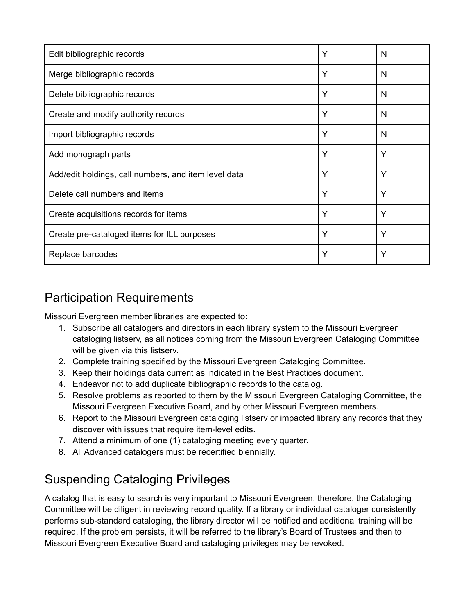| Edit bibliographic records                           | Y | N |
|------------------------------------------------------|---|---|
| Merge bibliographic records                          | Ý | N |
| Delete bibliographic records                         | Y | N |
| Create and modify authority records                  | Y | N |
| Import bibliographic records                         | Y | N |
| Add monograph parts                                  | Y | Υ |
| Add/edit holdings, call numbers, and item level data | Y | Y |
| Delete call numbers and items                        | Y | Υ |
| Create acquisitions records for items                | Y | Υ |
| Create pre-cataloged items for ILL purposes          | Y | Y |
| Replace barcodes                                     | Y | Y |

## Participation Requirements

Missouri Evergreen member libraries are expected to:

- 1. Subscribe all catalogers and directors in each library system to the Missouri Evergreen cataloging listserv, as all notices coming from the Missouri Evergreen Cataloging Committee will be given via this listserv.
- 2. Complete training specified by the Missouri Evergreen Cataloging Committee.
- 3. Keep their holdings data current as indicated in the Best Practices document.
- 4. Endeavor not to add duplicate bibliographic records to the catalog.
- 5. Resolve problems as reported to them by the Missouri Evergreen Cataloging Committee, the Missouri Evergreen Executive Board, and by other Missouri Evergreen members.
- 6. Report to the Missouri Evergreen cataloging listserv or impacted library any records that they discover with issues that require item-level edits.
- 7. Attend a minimum of one (1) cataloging meeting every quarter.
- 8. All Advanced catalogers must be recertified biennially.

## Suspending Cataloging Privileges

A catalog that is easy to search is very important to Missouri Evergreen, therefore, the Cataloging Committee will be diligent in reviewing record quality. If a library or individual cataloger consistently performs sub-standard cataloging, the library director will be notified and additional training will be required. If the problem persists, it will be referred to the library's Board of Trustees and then to Missouri Evergreen Executive Board and cataloging privileges may be revoked.